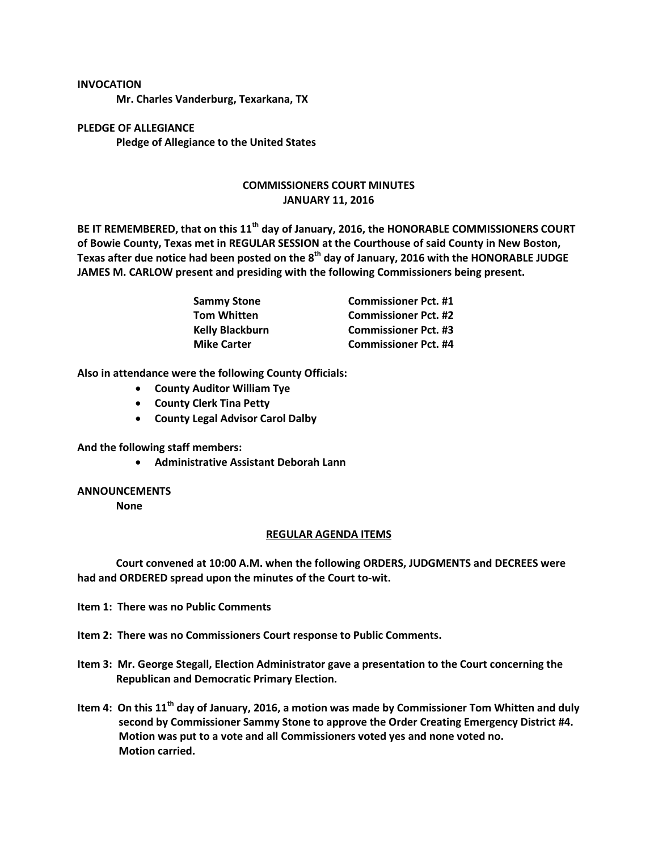## **INVOCATION**

**Mr. Charles Vanderburg, Texarkana, TX**

**PLEDGE OF ALLEGIANCE Pledge of Allegiance to the United States**

## **COMMISSIONERS COURT MINUTES JANUARY 11, 2016**

**BE IT REMEMBERED, that on this 11th day of January, 2016, the HONORABLE COMMISSIONERS COURT of Bowie County, Texas met in REGULAR SESSION at the Courthouse of said County in New Boston, Texas after due notice had been posted on the 8th day of January, 2016 with the HONORABLE JUDGE JAMES M. CARLOW present and presiding with the following Commissioners being present.**

| Sammy Stone<br>Tom Whitten | <b>Commissioner Pct. #1</b> |
|----------------------------|-----------------------------|
|                            | <b>Commissioner Pct. #2</b> |
| <b>Kelly Blackburn</b>     | <b>Commissioner Pct. #3</b> |
| <b>Mike Carter</b>         | <b>Commissioner Pct. #4</b> |

**Also in attendance were the following County Officials:**

- **County Auditor William Tye**
- **County Clerk Tina Petty**
- **County Legal Advisor Carol Dalby**

**And the following staff members:**

**Administrative Assistant Deborah Lann**

## **ANNOUNCEMENTS**

**None**

## **REGULAR AGENDA ITEMS**

**Court convened at 10:00 A.M. when the following ORDERS, JUDGMENTS and DECREES were had and ORDERED spread upon the minutes of the Court to-wit.**

- **Item 1: There was no Public Comments**
- **Item 2: There was no Commissioners Court response to Public Comments.**
- **Item 3: Mr. George Stegall, Election Administrator gave a presentation to the Court concerning the Republican and Democratic Primary Election.**
- **Item 4: On this 11th day of January, 2016, a motion was made by Commissioner Tom Whitten and duly second by Commissioner Sammy Stone to approve the Order Creating Emergency District #4. Motion was put to a vote and all Commissioners voted yes and none voted no. Motion carried.**